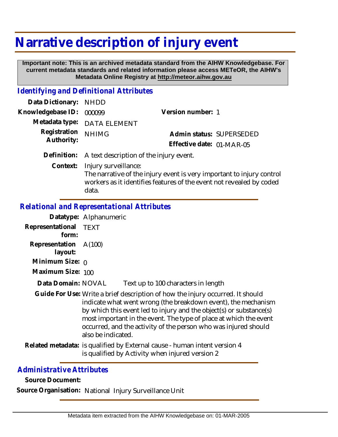## **Narrative description of injury event**

 **Important note: This is an archived metadata standard from the AIHW Knowledgebase. For current metadata standards and related information please access METeOR, the AIHW's Metadata Online Registry at http://meteor.aihw.gov.au**

## *Identifying and Definitional Attributes*

| Data Dictionary: NHDD    |                                                     |                           |  |
|--------------------------|-----------------------------------------------------|---------------------------|--|
| Knowledgebase ID: 000099 |                                                     | Version number: 1         |  |
|                          | Metadata type: DATA ELEMENT                         |                           |  |
| Registration             | <b>NHIMG</b>                                        | Admin status: SUPERSEDED  |  |
| Authority:               |                                                     | Effective date: 01-MAR-05 |  |
|                          | Definition: A text description of the injury event. |                           |  |

Context: Injury surveillance: The narrative of the injury event is very important to injury control workers as it identifies features of the event not revealed by coded data.

## *Relational and Representational Attributes*

|                                  | Datatype: Alphanumeric                                                                                                                                                                                                                                                                                                                                                               |  |
|----------------------------------|--------------------------------------------------------------------------------------------------------------------------------------------------------------------------------------------------------------------------------------------------------------------------------------------------------------------------------------------------------------------------------------|--|
| Representational<br>form:        | <b>TEXT</b>                                                                                                                                                                                                                                                                                                                                                                          |  |
| Representation A(100)<br>layout: |                                                                                                                                                                                                                                                                                                                                                                                      |  |
| Minimum Size: $\rho$             |                                                                                                                                                                                                                                                                                                                                                                                      |  |
| Maximum Size: 100                |                                                                                                                                                                                                                                                                                                                                                                                      |  |
| Data Domain: NOVAL               | Text up to 100 characters in length                                                                                                                                                                                                                                                                                                                                                  |  |
|                                  | Guide For Use: Write a brief description of how the injury occurred. It should<br>indicate what went wrong (the breakdown event), the mechanism<br>by which this event led to injury and the object(s) or substance(s)<br>most important in the event. The type of place at which the event<br>occurred, and the activity of the person who was injured should<br>also be indicated. |  |
|                                  | Related metadata: is qualified by External cause - human intent version 4<br>is qualified by Activity when injured version 2                                                                                                                                                                                                                                                         |  |
|                                  |                                                                                                                                                                                                                                                                                                                                                                                      |  |

## *Administrative Attributes*

**Source Document:**

**Source Organisation:** National Injury Surveillance Unit